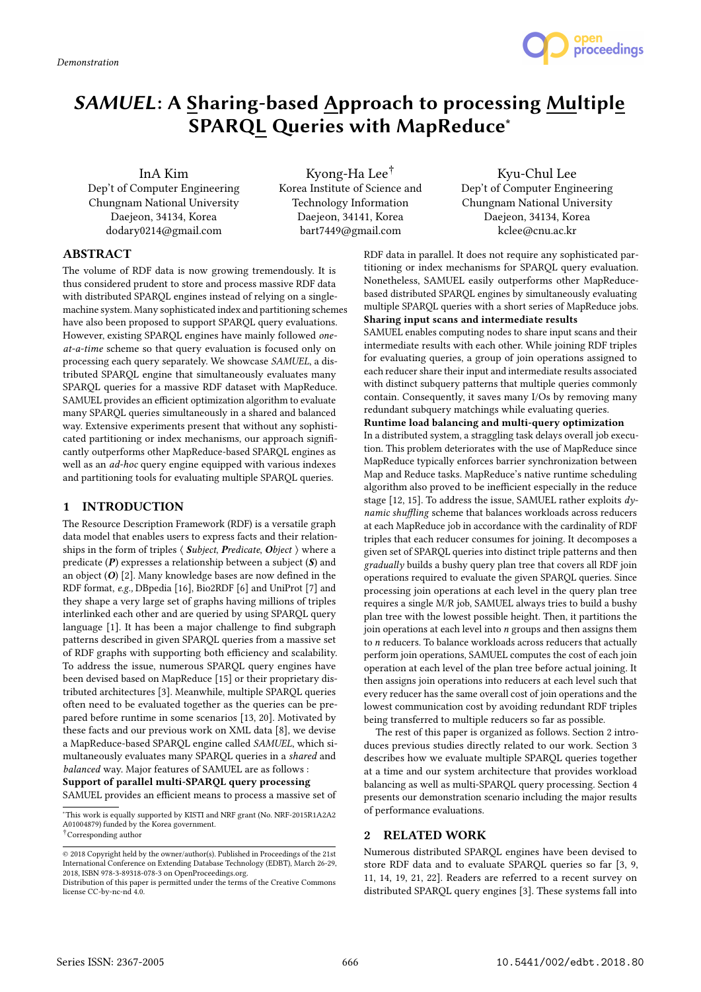

# SAMUEL: A Sharing-based Approach to processing Multiple SPARQL Queries with MapReduce<sup>∗</sup>

InA Kim

Dep't of Computer Engineering Chungnam National University Daejeon, 34134, Korea dodary0214@gmail.com

Kyong-Ha Lee† Korea Institute of Science and Technology Information Daejeon, 34141, Korea bart7449@gmail.com

Kyu-Chul Lee Dep't of Computer Engineering Chungnam National University Daejeon, 34134, Korea kclee@cnu.ac.kr

# ABSTRACT

The volume of RDF data is now growing tremendously. It is thus considered prudent to store and process massive RDF data with distributed SPARQL engines instead of relying on a singlemachine system. Many sophisticated index and partitioning schemes have also been proposed to support SPARQL query evaluations. However, existing SPARQL engines have mainly followed oneat-a-time scheme so that query evaluation is focused only on processing each query separately. We showcase SAMUEL, a distributed SPARQL engine that simultaneously evaluates many SPARQL queries for a massive RDF dataset with MapReduce. SAMUEL provides an efficient optimization algorithm to evaluate many SPARQL queries simultaneously in a shared and balanced way. Extensive experiments present that without any sophisticated partitioning or index mechanisms, our approach significantly outperforms other MapReduce-based SPARQL engines as well as an ad-hoc query engine equipped with various indexes and partitioning tools for evaluating multiple SPARQL queries.

## 1 INTRODUCTION

The Resource Description Framework (RDF) is a versatile graph data model that enables users to express facts and their relationships in the form of triples  $\langle$  *Subject, Predicate, Object*  $\rangle$  where a predicate  $(P)$  expresses a relationship between a subject  $(S)$  and an object  $(O)$  [2]. Many knowledge bases are now defined in the RDF format, e.g., DBpedia [16], Bio2RDF [6] and UniProt [7] and they shape a very large set of graphs having millions of triples interlinked each other and are queried by using SPARQL query language [1]. It has been a major challenge to find subgraph patterns described in given SPARQL queries from a massive set of RDF graphs with supporting both efficiency and scalability. To address the issue, numerous SPARQL query engines have been devised based on MapReduce [15] or their proprietary distributed architectures [3]. Meanwhile, multiple SPARQL queries often need to be evaluated together as the queries can be prepared before runtime in some scenarios [13, 20]. Motivated by these facts and our previous work on XML data [8], we devise a MapReduce-based SPARQL engine called SAMUEL, which simultaneously evaluates many SPARQL queries in a shared and balanced way. Major features of SAMUEL are as follows : Support of parallel multi-SPARQL query processing SAMUEL provides an efficient means to process a massive set of

<sup>∗</sup>This work is equally supported by KISTI and NRF grant (No. NRF-2015R1A2A2 A01004879) funded by the Korea government.

RDF data in parallel. It does not require any sophisticated partitioning or index mechanisms for SPARQL query evaluation. Nonetheless, SAMUEL easily outperforms other MapReducebased distributed SPARQL engines by simultaneously evaluating multiple SPARQL queries with a short series of MapReduce jobs. Sharing input scans and intermediate results

SAMUEL enables computing nodes to share input scans and their intermediate results with each other. While joining RDF triples for evaluating queries, a group of join operations assigned to each reducer share their input and intermediate results associated with distinct subquery patterns that multiple queries commonly contain. Consequently, it saves many I/Os by removing many redundant subquery matchings while evaluating queries.

## Runtime load balancing and multi-query optimization

In a distributed system, a straggling task delays overall job execution. This problem deteriorates with the use of MapReduce since MapReduce typically enforces barrier synchronization between Map and Reduce tasks. MapReduce's native runtime scheduling algorithm also proved to be inefficient especially in the reduce stage  $[12, 15]$ . To address the issue, SAMUEL rather exploits  $dy$ namic shuffling scheme that balances workloads across reducers at each MapReduce job in accordance with the cardinality of RDF triples that each reducer consumes for joining. It decomposes a given set of SPARQL queries into distinct triple patterns and then gradually builds a bushy query plan tree that covers all RDF join operations required to evaluate the given SPARQL queries. Since processing join operations at each level in the query plan tree requires a single M/R job, SAMUEL always tries to build a bushy plan tree with the lowest possible height. Then, it partitions the join operations at each level into  $n$  groups and then assigns them to n reducers. To balance workloads across reducers that actually perform join operations, SAMUEL computes the cost of each join operation at each level of the plan tree before actual joining. It then assigns join operations into reducers at each level such that every reducer has the same overall cost of join operations and the lowest communication cost by avoiding redundant RDF triples being transferred to multiple reducers so far as possible.

The rest of this paper is organized as follows. Section 2 introduces previous studies directly related to our work. Section 3 describes how we evaluate multiple SPARQL queries together at a time and our system architecture that provides workload balancing as well as multi-SPARQL query processing. Section 4 presents our demonstration scenario including the major results of performance evaluations.

## 2 RELATED WORK

Numerous distributed SPARQL engines have been devised to store RDF data and to evaluate SPARQL queries so far [3, 9, 11, 14, 19, 21, 22]. Readers are referred to a recent survey on distributed SPARQL query engines [3]. These systems fall into

 $^\dagger$  Corresponding author

<sup>©</sup> 2018 Copyright held by the owner/author(s). Published in Proceedings of the 21st International Conference on Extending Database Technology (EDBT), March 26-29, 2018, ISBN 978-3-89318-078-3 on OpenProceedings.org.

Distribution of this paper is permitted under the terms of the Creative Commons license CC-by-nc-nd 4.0.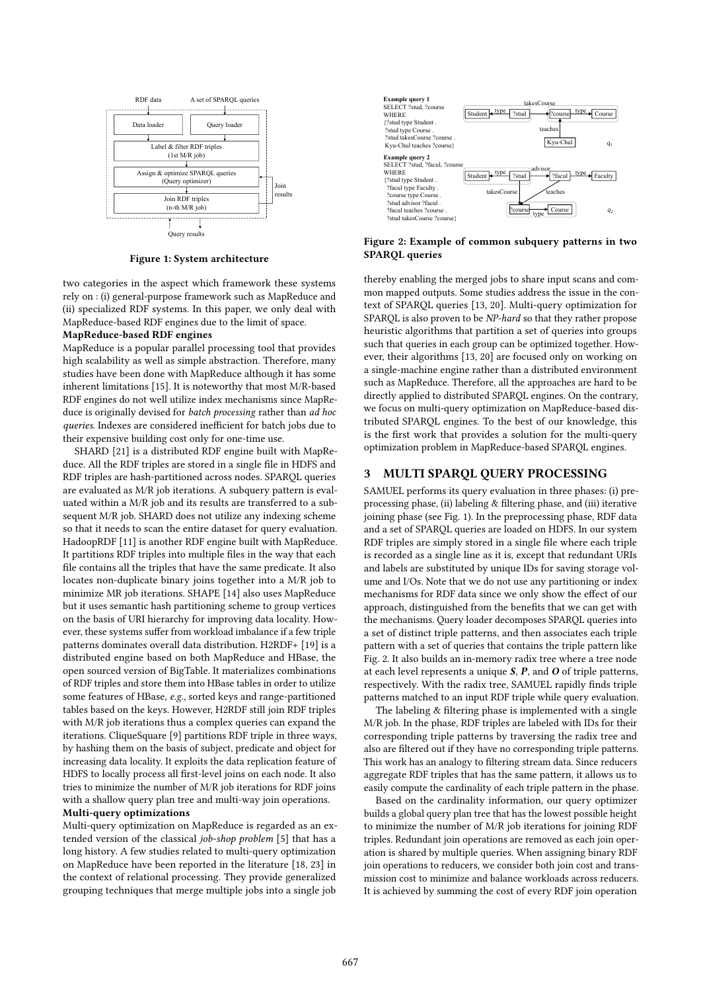

*COMPUTER SCIENCE AND ENGINEERING CHUNGNAM NATIONAL UNIVERSITY*  Figure 1: System architecture

two categories in the aspect which framework these systems rely on : (i) general-purpose framework such as MapReduce and (ii) specialized RDF systems. In this paper, we only deal with MapReduce-based RDF engines due to the limit of space.

## MapReduce-based RDF engines

MapReduce is a popular parallel processing tool that provides high scalability as well as simple abstraction. Therefore, many studies have been done with MapReduce although it has some inherent limitations [15]. It is noteworthy that most M/R-based RDF engines do not well utilize index mechanisms since MapReduce is originally devised for batch processing rather than ad hoc queries. Indexes are considered inefficient for batch jobs due to their expensive building cost only for one-time use.

SHARD [21] is a distributed RDF engine built with MapReduce. All the RDF triples are stored in a single file in HDFS and RDF triples are hash-partitioned across nodes. SPARQL queries are evaluated as M/R job iterations. A subquery pattern is evaluated within a M/R job and its results are transferred to a subsequent M/R job. SHARD does not utilize any indexing scheme so that it needs to scan the entire dataset for query evaluation. HadoopRDF [11] is another RDF engine built with MapReduce. It partitions RDF triples into multiple files in the way that each file contains all the triples that have the same predicate. It also locates non-duplicate binary joins together into a M/R job to minimize MR job iterations. SHAPE [14] also uses MapReduce but it uses semantic hash partitioning scheme to group vertices on the basis of URI hierarchy for improving data locality. However, these systems suffer from workload imbalance if a few triple patterns dominates overall data distribution. H2RDF+ [19] is a distributed engine based on both MapReduce and HBase, the open sourced version of BigTable. It materializes combinations of RDF triples and store them into HBase tables in order to utilize some features of HBase, e.g., sorted keys and range-partitioned tables based on the keys. However, H2RDF still join RDF triples with M/R job iterations thus a complex queries can expand the iterations. CliqueSquare [9] partitions RDF triple in three ways, by hashing them on the basis of subject, predicate and object for increasing data locality. It exploits the data replication feature of HDFS to locally process all first-level joins on each node. It also tries to minimize the number of M/R job iterations for RDF joins with a shallow query plan tree and multi-way join operations.

## Multi-query optimizations

Multi-query optimization on MapReduce is regarded as an extended version of the classical job-shop problem [5] that has a long history. A few studies related to multi-query optimization on MapReduce have been reported in the literature [18, 23] in the context of relational processing. They provide generalized grouping techniques that merge multiple jobs into a single job



Figure 2: Example of common subquery patterns in two SPARQL queries

thereby enabling the merged jobs to share input scans and common mapped outputs. Some studies address the issue in the context of SPARQL queries [13, 20]. Multi-query optimization for SPARQL is also proven to be NP-hard so that they rather propose heuristic algorithms that partition a set of queries into groups such that queries in each group can be optimized together. However, their algorithms [13, 20] are focused only on working on a single-machine engine rather than a distributed environment such as MapReduce. Therefore, all the approaches are hard to be directly applied to distributed SPARQL engines. On the contrary, we focus on multi-query optimization on MapReduce-based distributed SPARQL engines. To the best of our knowledge, this is the first work that provides a solution for the multi-query optimization problem in MapReduce-based SPARQL engines.

## 3 MULTI SPARQL QUERY PROCESSING

SAMUEL performs its query evaluation in three phases: (i) preprocessing phase, (ii) labeling & filtering phase, and (iii) iterative joining phase (see Fig. 1). In the preprocessing phase, RDF data and a set of SPARQL queries are loaded on HDFS. In our system RDF triples are simply stored in a single file where each triple is recorded as a single line as it is, except that redundant URIs and labels are substituted by unique IDs for saving storage volume and I/Os. Note that we do not use any partitioning or index mechanisms for RDF data since we only show the effect of our approach, distinguished from the benefits that we can get with the mechanisms. Query loader decomposes SPARQL queries into a set of distinct triple patterns, and then associates each triple pattern with a set of queries that contains the triple pattern like Fig. 2. It also builds an in-memory radix tree where a tree node at each level represents a unique  $S$ ,  $P$ , and  $O$  of triple patterns, respectively. With the radix tree, SAMUEL rapidly finds triple patterns matched to an input RDF triple while query evaluation.

The labeling & filtering phase is implemented with a single M/R job. In the phase, RDF triples are labeled with IDs for their corresponding triple patterns by traversing the radix tree and also are filtered out if they have no corresponding triple patterns. This work has an analogy to filtering stream data. Since reducers aggregate RDF triples that has the same pattern, it allows us to easily compute the cardinality of each triple pattern in the phase.

Based on the cardinality information, our query optimizer builds a global query plan tree that has the lowest possible height to minimize the number of M/R job iterations for joining RDF triples. Redundant join operations are removed as each join operation is shared by multiple queries. When assigning binary RDF join operations to reducers, we consider both join cost and transmission cost to minimize and balance workloads across reducers. It is achieved by summing the cost of every RDF join operation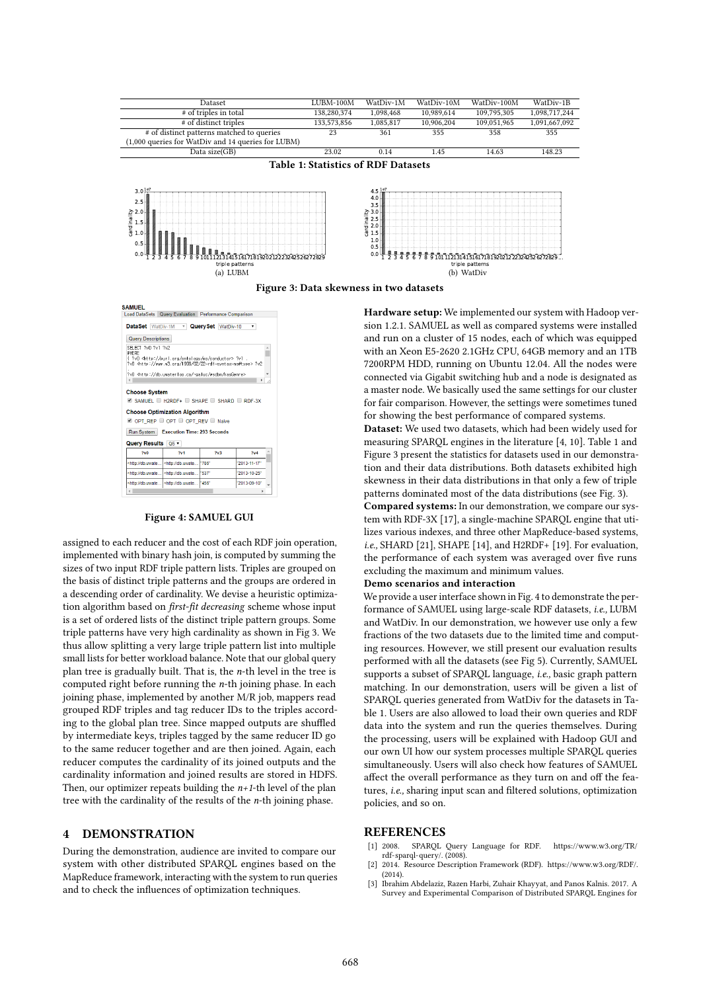



#### Figure 4: SAMUEL GUI

assigned to each reducer and the cost of each RDF join operation, implemented with binary hash join, is computed by summing the sizes of two input RDF triple pattern lists. Triples are grouped on the basis of distinct triple patterns and the groups are ordered in a descending order of cardinality. We devise a heuristic optimization algorithm based on first-fit decreasing scheme whose input is a set of ordered lists of the distinct triple pattern groups. Some triple patterns have very high cardinality as shown in Fig 3. We thus allow splitting a very large triple pattern list into multiple small lists for better workload balance. Note that our global query plan tree is gradually built. That is, the  $n$ -th level in the tree is computed right before running the  $n$ -th joining phase. In each joining phase, implemented by another M/R job, mappers read grouped RDF triples and tag reducer IDs to the triples according to the global plan tree. Since mapped outputs are shuffled by intermediate keys, triples tagged by the same reducer ID go to the same reducer together and are then joined. Again, each reducer computes the cardinality of its joined outputs and the cardinality information and joined results are stored in HDFS. Then, our optimizer repeats building the  $n+1$ -th level of the plan tree with the cardinality of the results of the n-th joining phase.

## 4 DEMONSTRATION

During the demonstration, audience are invited to compare our system with other distributed SPARQL engines based on the MapReduce framework, interacting with the system to run queries and to check the influences of optimization techniques.

Hardware setup: We implemented our system with Hadoop version 1.2.1. SAMUEL as well as compared systems were installed and run on a cluster of 15 nodes, each of which was equipped with an Xeon E5-2620 2.1GHz CPU, 64GB memory and an 1TB 7200RPM HDD, running on Ubuntu 12.04. All the nodes were connected via Gigabit switching hub and a node is designated as a master node. We basically used the same settings for our cluster for fair comparison. However, the settings were sometimes tuned for showing the best performance of compared systems.

Dataset: We used two datasets, which had been widely used for measuring SPARQL engines in the literature [4, 10]. Table 1 and Figure 3 present the statistics for datasets used in our demonstration and their data distributions. Both datasets exhibited high skewness in their data distributions in that only a few of triple patterns dominated most of the data distributions (see Fig. 3).

Compared systems: In our demonstration, we compare our system with RDF-3X [17], a single-machine SPARQL engine that utilizes various indexes, and three other MapReduce-based systems, i.e., SHARD [21], SHAPE [14], and H2RDF+ [19]. For evaluation, the performance of each system was averaged over five runs excluding the maximum and minimum values.

#### Demo scenarios and interaction

We provide a user interface shown in Fig. 4 to demonstrate the performance of SAMUEL using large-scale RDF datasets, i.e., LUBM and WatDiv. In our demonstration, we however use only a few fractions of the two datasets due to the limited time and computing resources. However, we still present our evaluation results performed with all the datasets (see Fig 5). Currently, SAMUEL supports a subset of SPARQL language, i.e., basic graph pattern matching. In our demonstration, users will be given a list of SPARQL queries generated from WatDiv for the datasets in Table 1. Users are also allowed to load their own queries and RDF data into the system and run the queries themselves. During the processing, users will be explained with Hadoop GUI and our own UI how our system processes multiple SPARQL queries simultaneously. Users will also check how features of SAMUEL affect the overall performance as they turn on and off the features, i.e., sharing input scan and filtered solutions, optimization policies, and so on.

## REFERENCES

- [1] 2008. SPARQL Query Language for RDF. https://www.w3.org/TR/ rdf-sparql-query/. (2008).
- [2] 2014. Resource Description Framework (RDF). https://www.w3.org/RDF/.  $(2014)$
- [3] Ibrahim Abdelaziz, Razen Harbi, Zuhair Khayyat, and Panos Kalnis. 2017. A Survey and Experimental Comparison of Distributed SPARQL Engines for